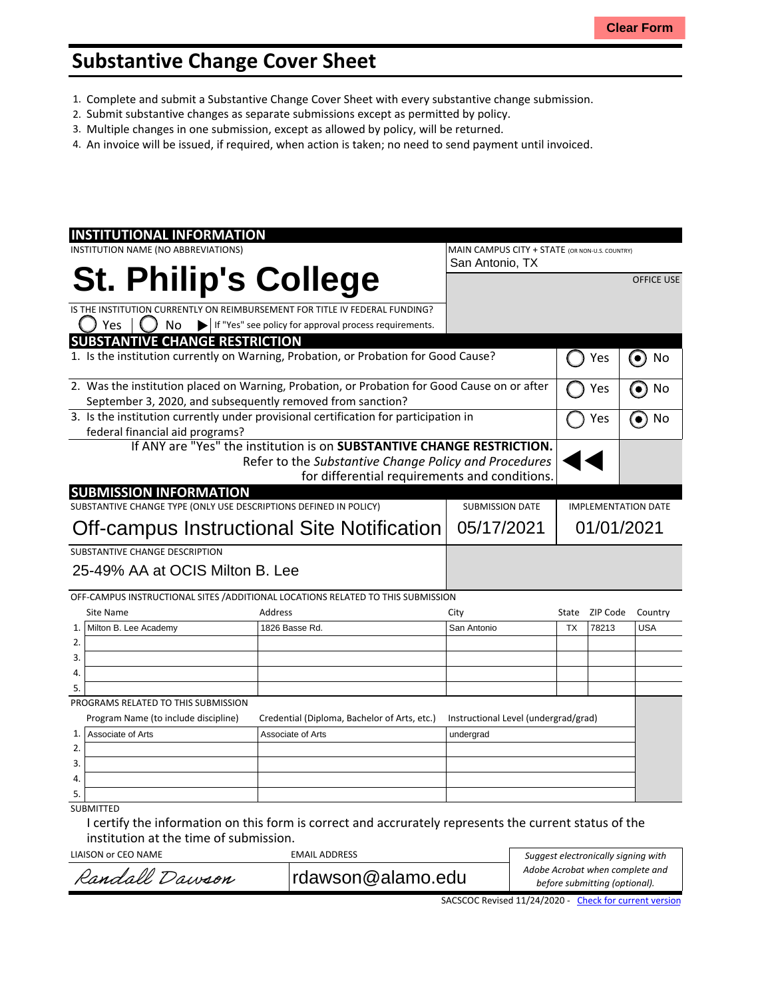## **Substantive Change Cover Sheet**

- 1. Complete and submit a Substantive Change Cover Sheet with every substantive change submission.
- 2. Submit substantive changes as separate submissions except as permitted by policy.
- 3. Multiple changes in one submission, except as allowed by policy, will be returned.
- 4. An invoice will be issued, if required, when action is taken; no need to send payment until invoiced.

| <b>INSTITUTIONAL INFORMATION</b>                                                             |                                                                        |                                              |           |                                                |                            |          |                   |
|----------------------------------------------------------------------------------------------|------------------------------------------------------------------------|----------------------------------------------|-----------|------------------------------------------------|----------------------------|----------|-------------------|
| INSTITUTION NAME (NO ABBREVIATIONS)                                                          |                                                                        |                                              |           | MAIN CAMPUS CITY + STATE (OR NON-U.S. COUNTRY) |                            |          |                   |
|                                                                                              |                                                                        |                                              |           | San Antonio, TX                                |                            |          |                   |
|                                                                                              |                                                                        | <b>St. Philip's College</b>                  |           |                                                |                            |          | <b>OFFICE USE</b> |
|                                                                                              |                                                                        |                                              |           |                                                |                            |          |                   |
| IS THE INSTITUTION CURRENTLY ON REIMBURSEMENT FOR TITLE IV FEDERAL FUNDING?                  |                                                                        |                                              |           |                                                |                            |          |                   |
| Yes<br>No                                                                                    |                                                                        |                                              |           |                                                |                            |          |                   |
| <b>SUBSTANTIVE CHANGE RESTRICTION</b>                                                        |                                                                        |                                              |           |                                                |                            |          |                   |
| 1. Is the institution currently on Warning, Probation, or Probation for Good Cause?          |                                                                        |                                              | Yes       | No<br>$\bullet$                                |                            |          |                   |
| 2. Was the institution placed on Warning, Probation, or Probation for Good Cause on or after |                                                                        |                                              |           |                                                |                            | Yes      | No<br>$\bullet$   |
| September 3, 2020, and subsequently removed from sanction?                                   |                                                                        |                                              |           |                                                |                            |          |                   |
| 3. Is the institution currently under provisional certification for participation in         |                                                                        |                                              | Yes       | No<br>$\bullet$                                |                            |          |                   |
| federal financial aid programs?                                                              |                                                                        |                                              |           |                                                |                            |          |                   |
|                                                                                              | If ANY are "Yes" the institution is on SUBSTANTIVE CHANGE RESTRICTION. |                                              |           |                                                |                            |          |                   |
| Refer to the Substantive Change Policy and Procedures                                        |                                                                        |                                              |           |                                                |                            |          |                   |
|                                                                                              |                                                                        |                                              |           | for differential requirements and conditions.  |                            |          |                   |
| <b>SUBMISSION INFORMATION</b>                                                                |                                                                        |                                              |           |                                                |                            |          |                   |
| SUBSTANTIVE CHANGE TYPE (ONLY USE DESCRIPTIONS DEFINED IN POLICY)                            |                                                                        |                                              |           | <b>SUBMISSION DATE</b>                         | <b>IMPLEMENTATION DATE</b> |          |                   |
|                                                                                              |                                                                        |                                              |           | 05/17/2021<br>01/01/2021                       |                            |          |                   |
| Off-campus Instructional Site Notification                                                   |                                                                        |                                              |           |                                                |                            |          |                   |
| SUBSTANTIVE CHANGE DESCRIPTION                                                               |                                                                        |                                              |           |                                                |                            |          |                   |
| 25-49% AA at OCIS Milton B. Lee                                                              |                                                                        |                                              |           |                                                |                            |          |                   |
|                                                                                              |                                                                        |                                              |           |                                                |                            |          |                   |
| OFF-CAMPUS INSTRUCTIONAL SITES /ADDITIONAL LOCATIONS RELATED TO THIS SUBMISSION              |                                                                        |                                              |           |                                                |                            |          |                   |
| Site Name                                                                                    |                                                                        | Address                                      |           | City                                           | State                      | ZIP Code | Country           |
| Milton B. Lee Academy<br>1.                                                                  |                                                                        | 1826 Basse Rd.                               |           | San Antonio                                    | <b>TX</b>                  | 78213    | <b>USA</b>        |
| 2.                                                                                           |                                                                        |                                              |           |                                                |                            |          |                   |
| 3.                                                                                           |                                                                        |                                              |           |                                                |                            |          |                   |
| 4.                                                                                           |                                                                        |                                              |           |                                                |                            |          |                   |
| 5.                                                                                           |                                                                        |                                              |           |                                                |                            |          |                   |
| PROGRAMS RELATED TO THIS SUBMISSION                                                          |                                                                        |                                              |           |                                                |                            |          |                   |
| Program Name (to include discipline)                                                         |                                                                        | Credential (Diploma, Bachelor of Arts, etc.) |           | Instructional Level (undergrad/grad)           |                            |          |                   |
| 1.<br>Associate of Arts<br>Associate of Arts                                                 |                                                                        |                                              | undergrad |                                                |                            |          |                   |
| 2.                                                                                           |                                                                        |                                              |           |                                                |                            |          |                   |
| 3.                                                                                           |                                                                        |                                              |           |                                                |                            |          |                   |
| 4.                                                                                           |                                                                        |                                              |           |                                                |                            |          |                   |
| 5.                                                                                           |                                                                        |                                              |           |                                                |                            |          |                   |
| <b>SUBMITTED</b>                                                                             |                                                                        |                                              |           |                                                |                            |          |                   |
| والمترافي والمستراة والمتواطن                                                                |                                                                        |                                              |           |                                                |                            |          |                   |

I certify the information on this form is correct and accrurately represents the current status of the institution at the time of submission.

LIAISON OF CEO NAME EMAIL ADDRESS

| LIAISON or CEO NAME | EMAIL ADDRESS     | Suggest electronically signing with                              |  |  |
|---------------------|-------------------|------------------------------------------------------------------|--|--|
| Randall Dawson      | rdawson@alamo.edu | Adobe Acrobat when complete and<br>before submitting (optional). |  |  |
|                     |                   |                                                                  |  |  |

SACSCOC Revised 11/24/2020 - Check for [current](http://sacscoc.org/app/uploads/2020/01/Substantive_Change_Cover_-Sheet.pdf) version